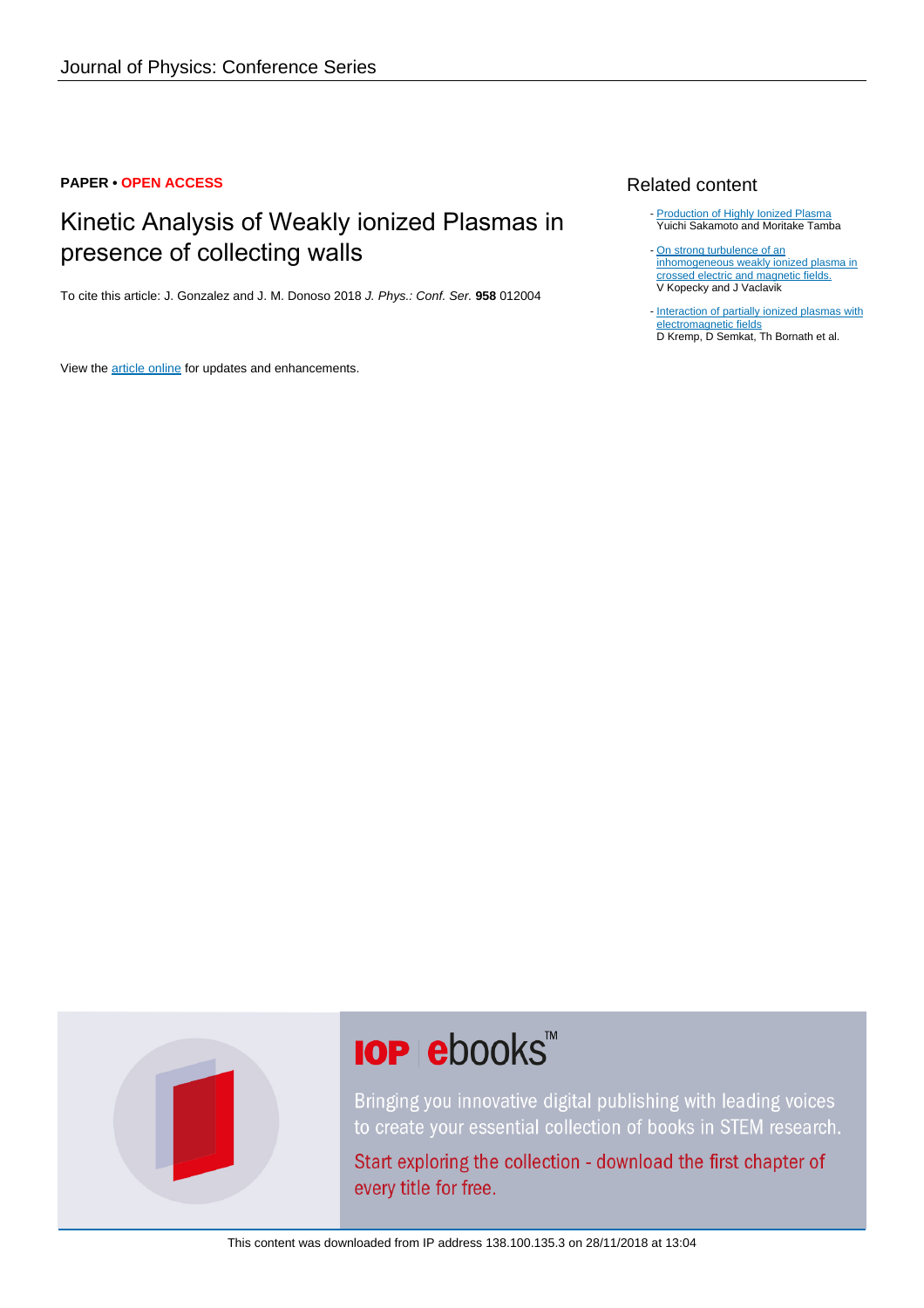#### **PAPER • OPEN ACCESS**

### Kinetic Analysis of Weakly ionized Plasmas in presence of collecting walls

To cite this article: J. Gonzalez and J. M. Donoso 2018 J. Phys.: Conf. Ser. **958** 012004

View the [article online](https://doi.org/10.1088/1742-6596/958/1/012004) for updates and enhancements.

#### Related content

- [Production of Highly Ionized Plasma](http://iopscience.iop.org/article/10.1143/JJAP.14.313) Yuichi Sakamoto and Moritake Tamba
- [On strong turbulence of an](http://iopscience.iop.org/article/10.1088/0032-1028/9/3/506) [inhomogeneous weakly ionized plasma in](http://iopscience.iop.org/article/10.1088/0032-1028/9/3/506) [crossed electric and magnetic fields.](http://iopscience.iop.org/article/10.1088/0032-1028/9/3/506) V Kopecky and J Vaclavik
- [Interaction of partially ionized plasmas with](http://iopscience.iop.org/article/10.1088/1742-6596/35/1/005) [electromagnetic fields](http://iopscience.iop.org/article/10.1088/1742-6596/35/1/005) D Kremp, D Semkat, Th Bornath et al.



# **IOP ebooks**™

Bringing you innovative digital publishing with leading voices to create your essential collection of books in STEM research.

Start exploring the collection - download the first chapter of every title for free.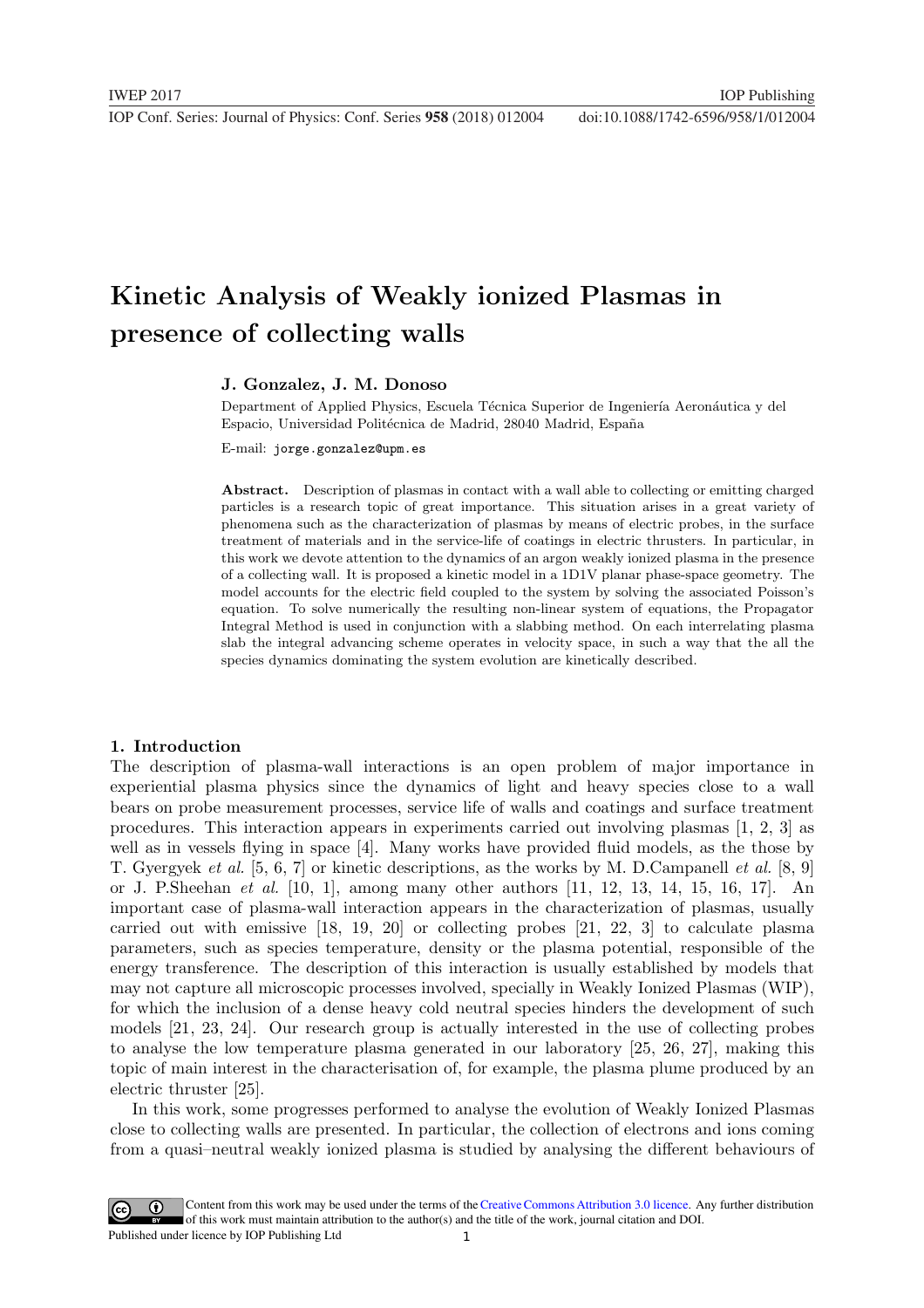## Kinetic Analysis of Weakly ionized Plasmas in presence of collecting walls

#### J. Gonzalez, J. M. Donoso

Department of Applied Physics, Escuela Técnica Superior de Ingeniería Aeronáutica y del Espacio, Universidad Politécnica de Madrid, 28040 Madrid, España

E-mail: jorge.gonzalez@upm.es

Abstract. Description of plasmas in contact with a wall able to collecting or emitting charged particles is a research topic of great importance. This situation arises in a great variety of phenomena such as the characterization of plasmas by means of electric probes, in the surface treatment of materials and in the service-life of coatings in electric thrusters. In particular, in this work we devote attention to the dynamics of an argon weakly ionized plasma in the presence of a collecting wall. It is proposed a kinetic model in a 1D1V planar phase-space geometry. The model accounts for the electric field coupled to the system by solving the associated Poisson's equation. To solve numerically the resulting non-linear system of equations, the Propagator Integral Method is used in conjunction with a slabbing method. On each interrelating plasma slab the integral advancing scheme operates in velocity space, in such a way that the all the species dynamics dominating the system evolution are kinetically described.

#### 1. Introduction

The description of plasma-wall interactions is an open problem of major importance in experiential plasma physics since the dynamics of light and heavy species close to a wall bears on probe measurement processes, service life of walls and coatings and surface treatment procedures. This interaction appears in experiments carried out involving plasmas [1, 2, 3] as well as in vessels flying in space [4]. Many works have provided fluid models, as the those by T. Gyergyek et al. [5, 6, 7] or kinetic descriptions, as the works by M. D.Campanell et al. [8, 9] or J. P.Sheehan et al. [10, 1], among many other authors [11, 12, 13, 14, 15, 16, 17]. An important case of plasma-wall interaction appears in the characterization of plasmas, usually carried out with emissive [18, 19, 20] or collecting probes [21, 22, 3] to calculate plasma parameters, such as species temperature, density or the plasma potential, responsible of the energy transference. The description of this interaction is usually established by models that may not capture all microscopic processes involved, specially in Weakly Ionized Plasmas (WIP), for which the inclusion of a dense heavy cold neutral species hinders the development of such models [21, 23, 24]. Our research group is actually interested in the use of collecting probes to analyse the low temperature plasma generated in our laboratory [25, 26, 27], making this topic of main interest in the characterisation of, for example, the plasma plume produced by an electric thruster [25].

In this work, some progresses performed to analyse the evolution of Weakly Ionized Plasmas close to collecting walls are presented. In particular, the collection of electrons and ions coming from a quasi–neutral weakly ionized plasma is studied by analysing the different behaviours of

1 Content from this work may be used under the terms of the[Creative Commons Attribution 3.0 licence.](http://creativecommons.org/licenses/by/3.0) Any further distribution of this work must maintain attribution to the author(s) and the title of the work, journal citation and DOI. Published under licence by IOP Publishing Ltd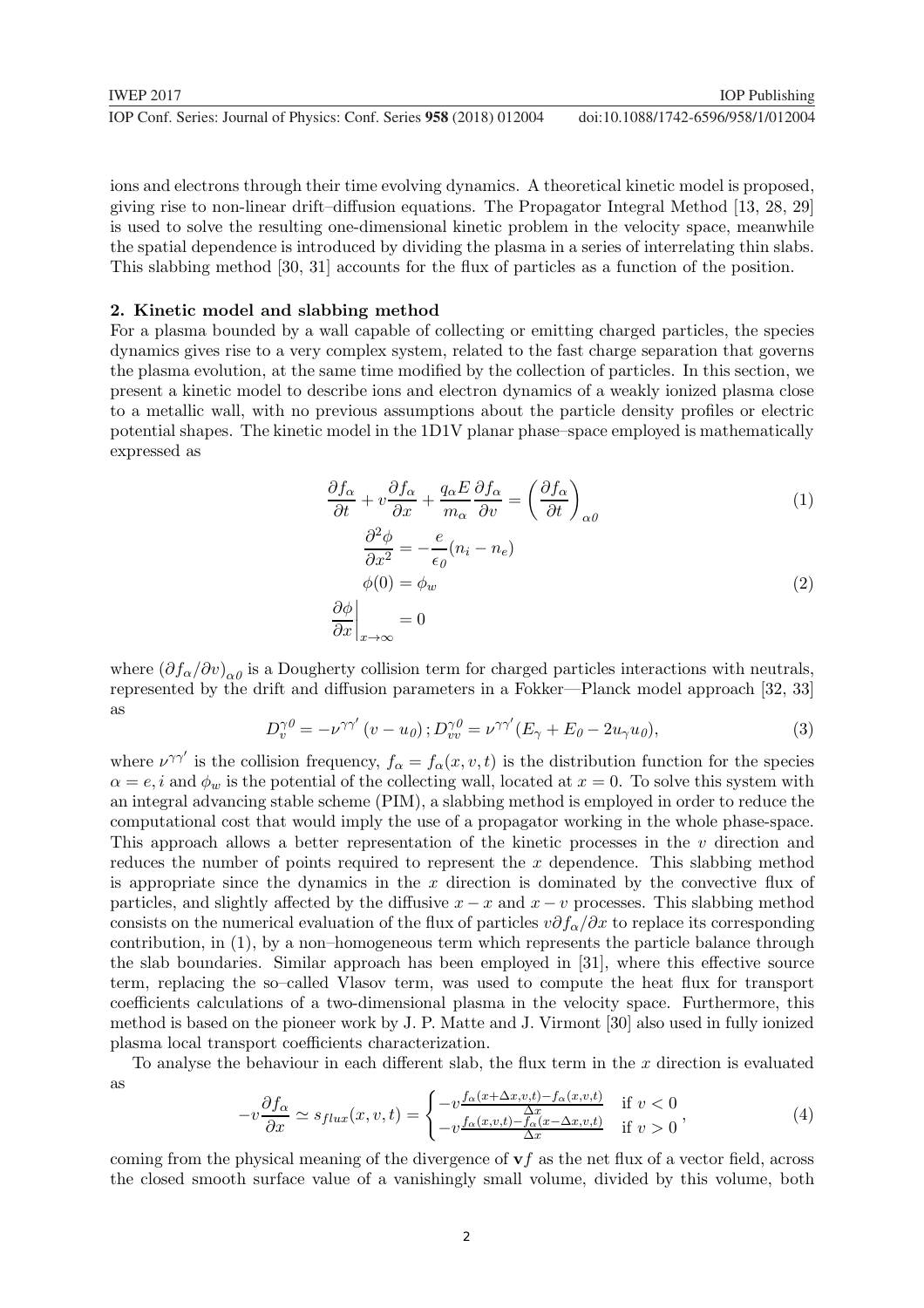| <b>IWEP 2017</b>                                                     | <b>IOP</b> Publishing              |
|----------------------------------------------------------------------|------------------------------------|
| IOP Conf. Series: Journal of Physics: Conf. Series 958 (2018) 012004 | doi:10.1088/1742-6596/958/1/012004 |

ions and electrons through their time evolving dynamics. A theoretical kinetic model is proposed, giving rise to non-linear drift–diffusion equations. The Propagator Integral Method [13, 28, 29] is used to solve the resulting one-dimensional kinetic problem in the velocity space, meanwhile the spatial dependence is introduced by dividing the plasma in a series of interrelating thin slabs. This slabbing method [30, 31] accounts for the flux of particles as a function of the position.

#### 2. Kinetic model and slabbing method

For a plasma bounded by a wall capable of collecting or emitting charged particles, the species dynamics gives rise to a very complex system, related to the fast charge separation that governs the plasma evolution, at the same time modified by the collection of particles. In this section, we present a kinetic model to describe ions and electron dynamics of a weakly ionized plasma close to a metallic wall, with no previous assumptions about the particle density profiles or electric potential shapes. The kinetic model in the 1D1V planar phase–space employed is mathematically expressed as

$$
\frac{\partial f_{\alpha}}{\partial t} + v \frac{\partial f_{\alpha}}{\partial x} + \frac{q_{\alpha} E}{m_{\alpha}} \frac{\partial f_{\alpha}}{\partial v} = \left(\frac{\partial f_{\alpha}}{\partial t}\right)_{\alpha\theta} \tag{1}
$$

$$
\frac{\partial^2 \phi}{\partial x^2} = -\frac{e}{\epsilon_{\theta}} (n_i - n_e)
$$
  
\n
$$
\phi(0) = \phi_w
$$
  
\n
$$
\frac{\partial \phi}{\partial x}\Big|_{x \to \infty} = 0
$$
\n(2)

where  $(\partial f_{\alpha}/\partial v)_{\alpha\theta}$  is a Dougherty collision term for charged particles interactions with neutrals, represented by the drift and diffusion parameters in a Fokker—Planck model approach [32, 33] as

$$
D_v^{\gamma \theta} = -\nu^{\gamma \gamma'} (v - u_\theta); D_{vv}^{\gamma \theta} = \nu^{\gamma \gamma'} (E_\gamma + E_\theta - 2u_\gamma u_\theta), \tag{3}
$$

where  $\nu^{\gamma\gamma'}$  is the collision frequency,  $f_{\alpha} = f_{\alpha}(x, v, t)$  is the distribution function for the species  $\alpha = e, i$  and  $\phi_w$  is the potential of the collecting wall, located at  $x = 0$ . To solve this system with an integral advancing stable scheme (PIM), a slabbing method is employed in order to reduce the computational cost that would imply the use of a propagator working in the whole phase-space. This approach allows a better representation of the kinetic processes in the v direction and reduces the number of points required to represent the x dependence. This slabbing method is appropriate since the dynamics in the  $x$  direction is dominated by the convective flux of particles, and slightly affected by the diffusive  $x - x$  and  $x - v$  processes. This slabbing method consists on the numerical evaluation of the flux of particles  $v\partial f_\alpha/\partial x$  to replace its corresponding contribution, in (1), by a non–homogeneous term which represents the particle balance through the slab boundaries. Similar approach has been employed in [31], where this effective source term, replacing the so–called Vlasov term, was used to compute the heat flux for transport coefficients calculations of a two-dimensional plasma in the velocity space. Furthermore, this method is based on the pioneer work by J. P. Matte and J. Virmont [30] also used in fully ionized plasma local transport coefficients characterization.

To analyse the behaviour in each different slab, the flux term in the  $x$  direction is evaluated as

$$
-v\frac{\partial f_{\alpha}}{\partial x} \simeq s_{flux}(x,v,t) = \begin{cases} -v\frac{f_{\alpha}(x+\Delta x,v,t)-f_{\alpha}(x,v,t)}{\Delta x} & \text{if } v < 0\\ -v\frac{f_{\alpha}(x,v,t)-f_{\alpha}(x-\Delta x,v,t)}{\Delta x} & \text{if } v > 0 \end{cases},\tag{4}
$$

coming from the physical meaning of the divergence of  $\mathbf{v}f$  as the net flux of a vector field, across the closed smooth surface value of a vanishingly small volume, divided by this volume, both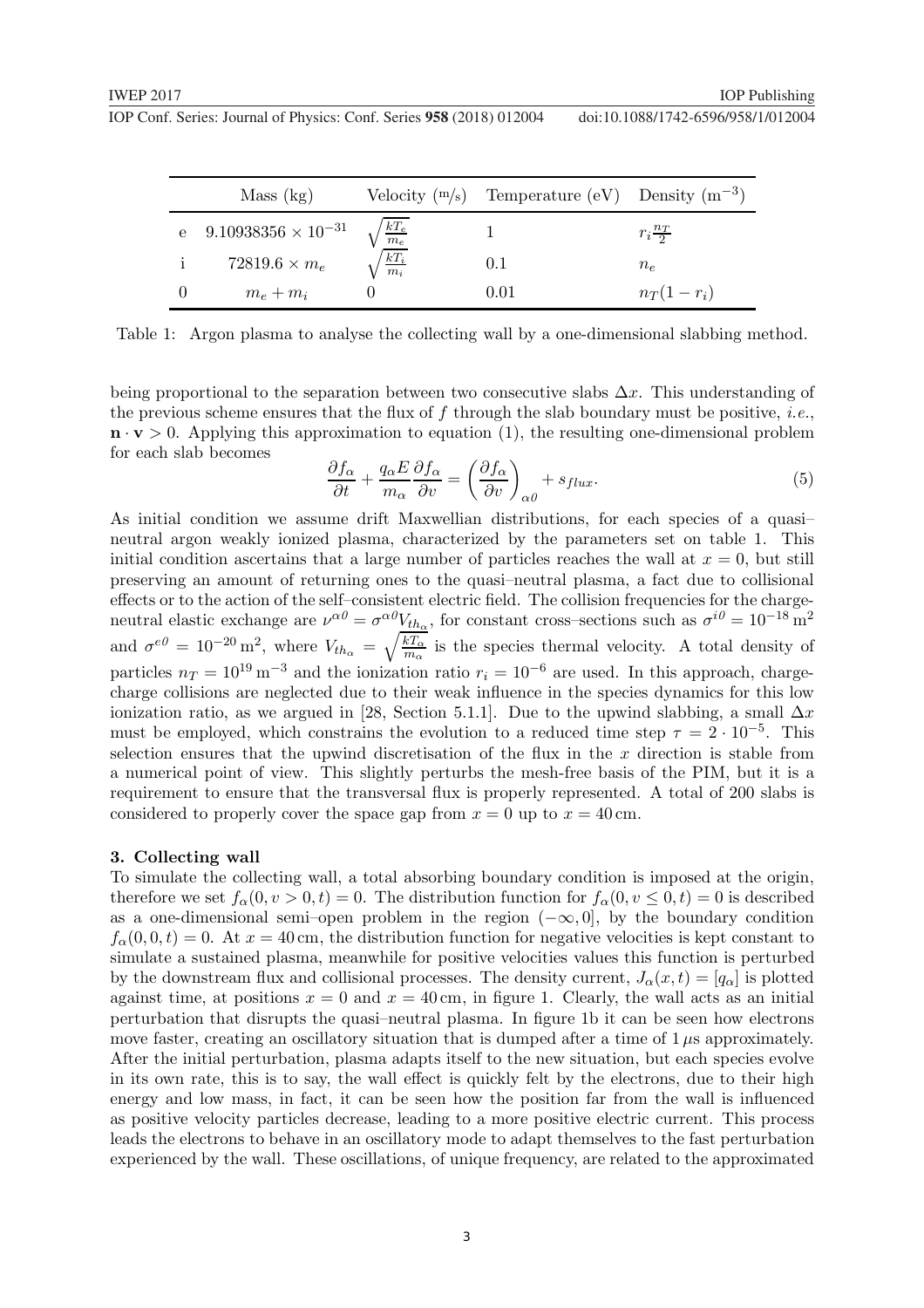|              | Mass (kg)                      |                           | Velocity $(m/s)$ Temperature (eV) Density $(m^{-3})$ |                     |
|--------------|--------------------------------|---------------------------|------------------------------------------------------|---------------------|
|              | e $9.10938356 \times 10^{-31}$ |                           |                                                      | $r_i \frac{n_T}{2}$ |
| $\mathbf{1}$ | $72819.6 \times m_e$           | $\sqrt{\frac{kT_e}{m_e}}$ | 0.1                                                  | $n_e$               |
|              | $m_e + m_i$                    |                           | $\rm 0.01$                                           | $n_T(1-r_i)$        |

Table 1: Argon plasma to analyse the collecting wall by a one-dimensional slabbing method.

being proportional to the separation between two consecutive slabs  $\Delta x$ . This understanding of the previous scheme ensures that the flux of f through the slab boundary must be positive, *i.e.*,  $\mathbf{n} \cdot \mathbf{v} > 0$ . Applying this approximation to equation (1), the resulting one-dimensional problem for each slab becomes

$$
\frac{\partial f_{\alpha}}{\partial t} + \frac{q_{\alpha}E}{m_{\alpha}} \frac{\partial f_{\alpha}}{\partial v} = \left(\frac{\partial f_{\alpha}}{\partial v}\right)_{\alpha\theta} + s_{flux}.
$$
\n<sup>(5)</sup>

As initial condition we assume drift Maxwellian distributions, for each species of a quasi– neutral argon weakly ionized plasma, characterized by the parameters set on table 1. This initial condition ascertains that a large number of particles reaches the wall at  $x = 0$ , but still preserving an amount of returning ones to the quasi–neutral plasma, a fact due to collisional effects or to the action of the self–consistent electric field. The collision frequencies for the chargeneutral elastic exchange are  $\nu^{\alpha\theta} = \sigma^{\alpha\theta} V_{th_\alpha}$ , for constant cross–sections such as  $\sigma^{i\theta} = 10^{-18} \text{ m}^2$ and  $\sigma^{e0} = 10^{-20} \,\mathrm{m}^2$ , where  $V_{th_{\alpha}} = \sqrt{\frac{kT_{\alpha}}{m_{\alpha}}}$  is the species thermal velocity. A total density of particles  $n_T = 10^{19} \text{ m}^{-3}$  and the ionization ratio  $r_i = 10^{-6}$  are used. In this approach, chargecharge collisions are neglected due to their weak influence in the species dynamics for this low ionization ratio, as we argued in [28, Section 5.1.1]. Due to the upwind slabbing, a small  $\Delta x$ must be employed, which constrains the evolution to a reduced time step  $\tau = 2 \cdot 10^{-5}$ . This selection ensures that the upwind discretisation of the flux in the  $x$  direction is stable from a numerical point of view. This slightly perturbs the mesh-free basis of the PIM, but it is a requirement to ensure that the transversal flux is properly represented. A total of 200 slabs is considered to properly cover the space gap from  $x = 0$  up to  $x = 40$  cm.

#### 3. Collecting wall

To simulate the collecting wall, a total absorbing boundary condition is imposed at the origin, therefore we set  $f_\alpha(0, v > 0, t) = 0$ . The distribution function for  $f_\alpha(0, v \le 0, t) = 0$  is described as a one-dimensional semi–open problem in the region  $(-\infty, 0]$ , by the boundary condition  $f_{\alpha}(0,0,t) = 0$ . At  $x = 40$  cm, the distribution function for negative velocities is kept constant to simulate a sustained plasma, meanwhile for positive velocities values this function is perturbed by the downstream flux and collisional processes. The density current,  $J_{\alpha}(x,t) = [q_{\alpha}]$  is plotted against time, at positions  $x = 0$  and  $x = 40$  cm, in figure 1. Clearly, the wall acts as an initial perturbation that disrupts the quasi–neutral plasma. In figure 1b it can be seen how electrons move faster, creating an oscillatory situation that is dumped after a time of  $1 \mu s$  approximately. After the initial perturbation, plasma adapts itself to the new situation, but each species evolve in its own rate, this is to say, the wall effect is quickly felt by the electrons, due to their high energy and low mass, in fact, it can be seen how the position far from the wall is influenced as positive velocity particles decrease, leading to a more positive electric current. This process leads the electrons to behave in an oscillatory mode to adapt themselves to the fast perturbation experienced by the wall. These oscillations, of unique frequency, are related to the approximated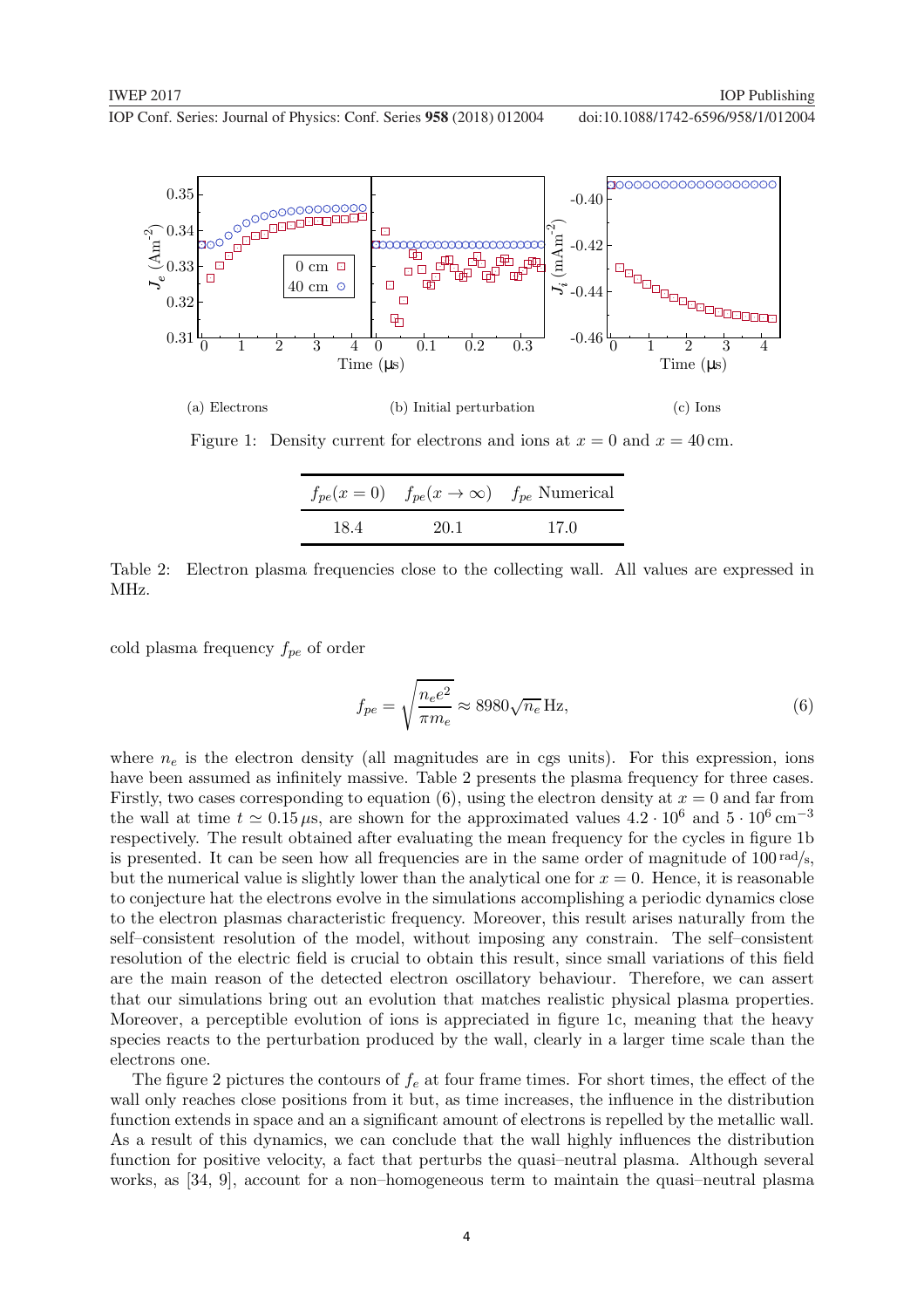

Figure 1: Density current for electrons and ions at  $x = 0$  and  $x = 40$  cm.

|      |      | $f_{pe}(x=0)$ $f_{pe}(x \rightarrow \infty)$ $f_{pe}$ Numerical |
|------|------|-----------------------------------------------------------------|
| 18.4 | 20.1 | 17.0                                                            |

Table 2: Electron plasma frequencies close to the collecting wall. All values are expressed in MHz.

cold plasma frequency  $f_{pe}$  of order

$$
f_{pe} = \sqrt{\frac{n_e e^2}{\pi m_e}} \approx 8980 \sqrt{n_e} \,\text{Hz},\tag{6}
$$

where  $n_e$  is the electron density (all magnitudes are in cgs units). For this expression, ions have been assumed as infinitely massive. Table 2 presents the plasma frequency for three cases. Firstly, two cases corresponding to equation (6), using the electron density at  $x = 0$  and far from the wall at time  $t \approx 0.15 \,\mu s$ , are shown for the approximated values  $4.2 \cdot 10^6$  and  $5 \cdot 10^6$  cm<sup>-3</sup> respectively. The result obtained after evaluating the mean frequency for the cycles in figure 1b is presented. It can be seen how all frequencies are in the same order of magnitude of  $100 \text{ rad/s}$ , but the numerical value is slightly lower than the analytical one for  $x = 0$ . Hence, it is reasonable to conjecture hat the electrons evolve in the simulations accomplishing a periodic dynamics close to the electron plasmas characteristic frequency. Moreover, this result arises naturally from the self–consistent resolution of the model, without imposing any constrain. The self–consistent resolution of the electric field is crucial to obtain this result, since small variations of this field are the main reason of the detected electron oscillatory behaviour. Therefore, we can assert that our simulations bring out an evolution that matches realistic physical plasma properties. Moreover, a perceptible evolution of ions is appreciated in figure 1c, meaning that the heavy species reacts to the perturbation produced by the wall, clearly in a larger time scale than the electrons one.

The figure 2 pictures the contours of  $f_e$  at four frame times. For short times, the effect of the wall only reaches close positions from it but, as time increases, the influence in the distribution function extends in space and an a significant amount of electrons is repelled by the metallic wall. As a result of this dynamics, we can conclude that the wall highly influences the distribution function for positive velocity, a fact that perturbs the quasi–neutral plasma. Although several works, as [34, 9], account for a non–homogeneous term to maintain the quasi–neutral plasma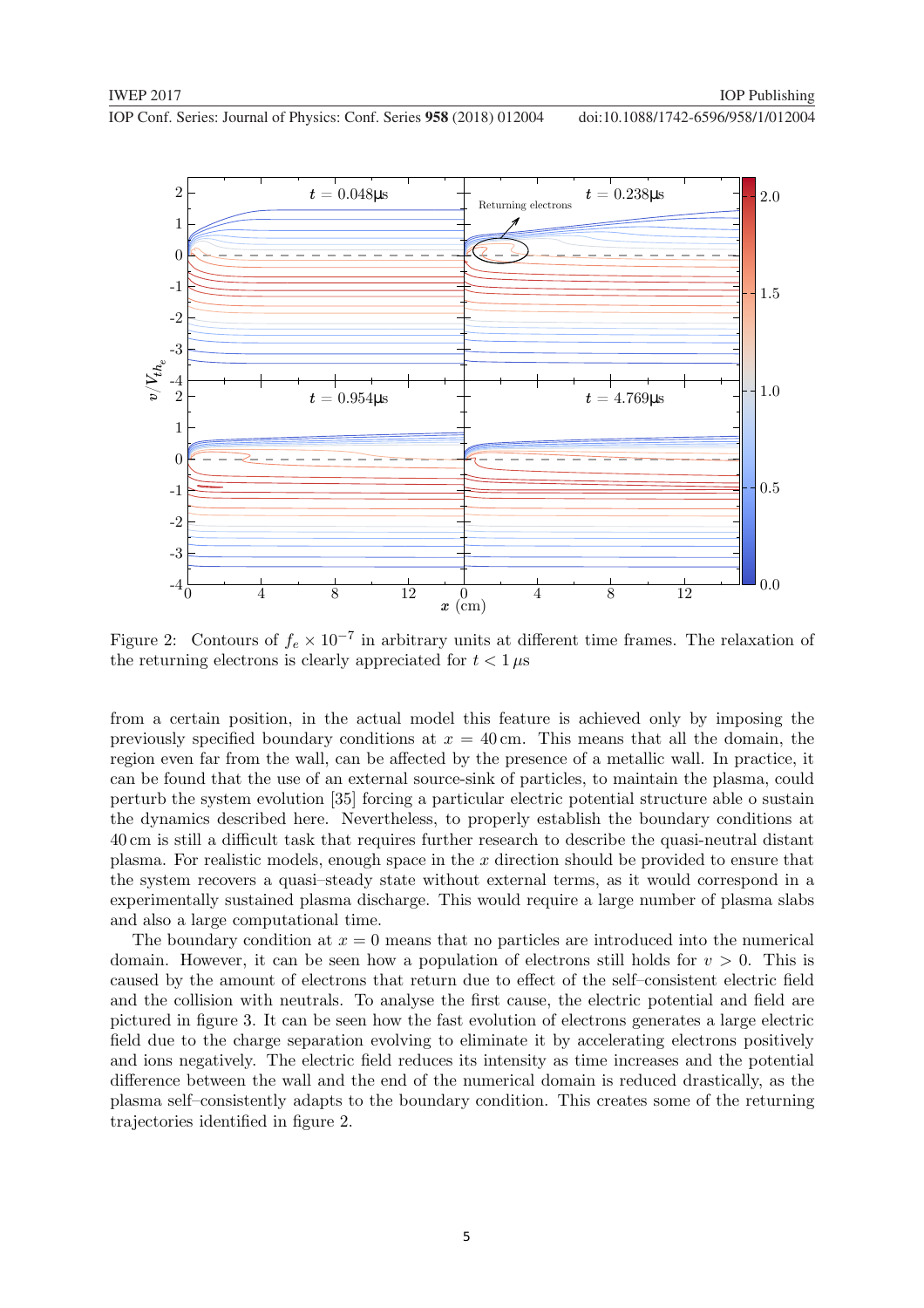

Figure 2: Contours of  $f_e \times 10^{-7}$  in arbitrary units at different time frames. The relaxation of the returning electrons is clearly appreciated for  $t < 1 \mu s$ 

from a certain position, in the actual model this feature is achieved only by imposing the previously specified boundary conditions at  $x = 40$  cm. This means that all the domain, the region even far from the wall, can be affected by the presence of a metallic wall. In practice, it can be found that the use of an external source-sink of particles, to maintain the plasma, could perturb the system evolution [35] forcing a particular electric potential structure able o sustain the dynamics described here. Nevertheless, to properly establish the boundary conditions at 40 cm is still a difficult task that requires further research to describe the quasi-neutral distant plasma. For realistic models, enough space in the  $x$  direction should be provided to ensure that the system recovers a quasi–steady state without external terms, as it would correspond in a experimentally sustained plasma discharge. This would require a large number of plasma slabs and also a large computational time.

The boundary condition at  $x = 0$  means that no particles are introduced into the numerical domain. However, it can be seen how a population of electrons still holds for  $v > 0$ . This is caused by the amount of electrons that return due to effect of the self–consistent electric field and the collision with neutrals. To analyse the first cause, the electric potential and field are pictured in figure 3. It can be seen how the fast evolution of electrons generates a large electric field due to the charge separation evolving to eliminate it by accelerating electrons positively and ions negatively. The electric field reduces its intensity as time increases and the potential difference between the wall and the end of the numerical domain is reduced drastically, as the plasma self–consistently adapts to the boundary condition. This creates some of the returning trajectories identified in figure 2.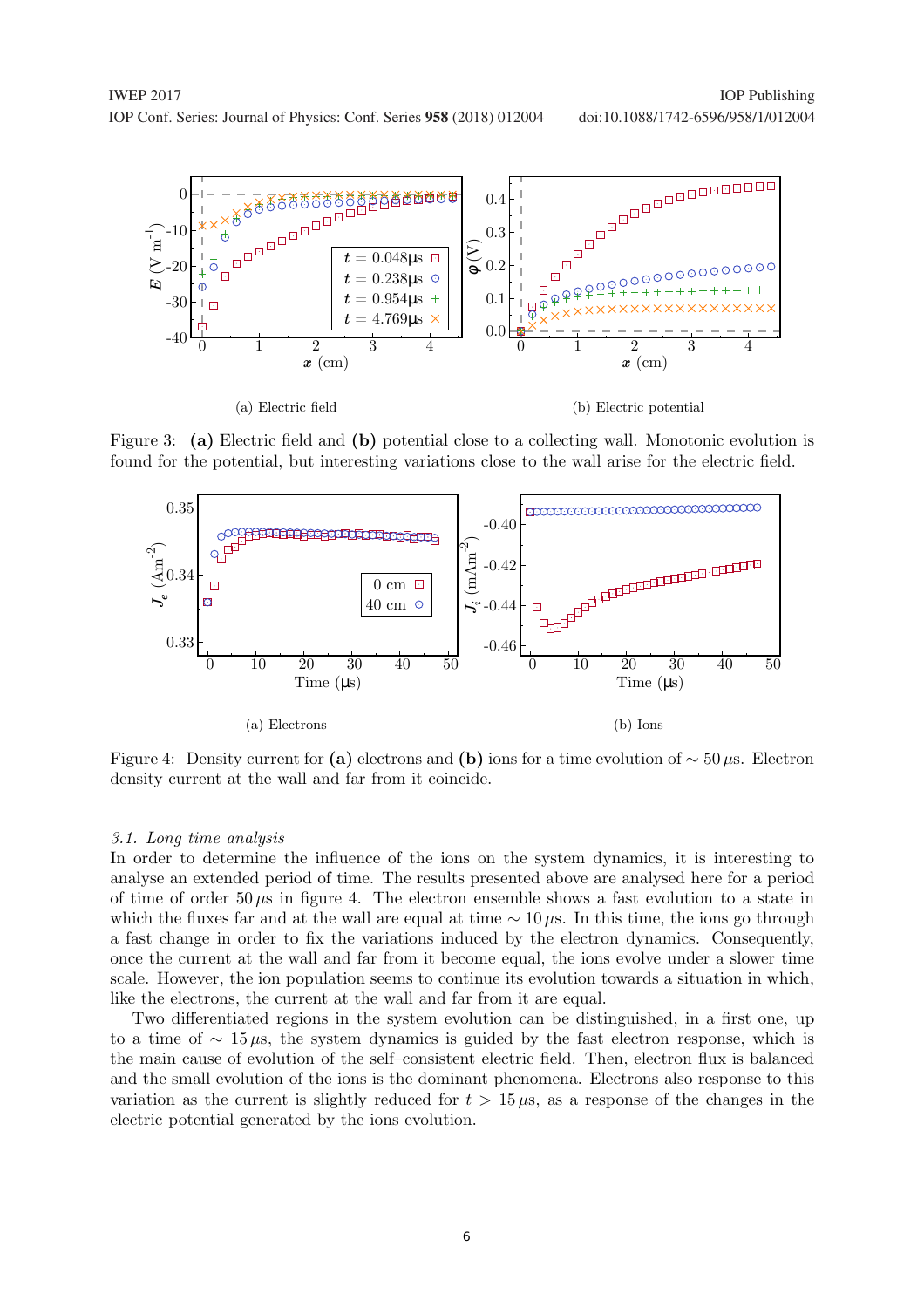

Figure 3: (a) Electric field and (b) potential close to a collecting wall. Monotonic evolution is found for the potential, but interesting variations close to the wall arise for the electric field.



Figure 4: Density current for (a) electrons and (b) ions for a time evolution of  $\sim$  50 µs. Electron density current at the wall and far from it coincide.

#### 3.1. Long time analysis

In order to determine the influence of the ions on the system dynamics, it is interesting to analyse an extended period of time. The results presented above are analysed here for a period of time of order 50  $\mu$ s in figure 4. The electron ensemble shows a fast evolution to a state in which the fluxes far and at the wall are equal at time  $~\sim 10 \,\mu s$ . In this time, the ions go through a fast change in order to fix the variations induced by the electron dynamics. Consequently, once the current at the wall and far from it become equal, the ions evolve under a slower time scale. However, the ion population seems to continue its evolution towards a situation in which, like the electrons, the current at the wall and far from it are equal.

Two differentiated regions in the system evolution can be distinguished, in a first one, up to a time of  $\sim 15 \mu s$ , the system dynamics is guided by the fast electron response, which is the main cause of evolution of the self–consistent electric field. Then, electron flux is balanced and the small evolution of the ions is the dominant phenomena. Electrons also response to this variation as the current is slightly reduced for  $t > 15 \mu s$ , as a response of the changes in the electric potential generated by the ions evolution.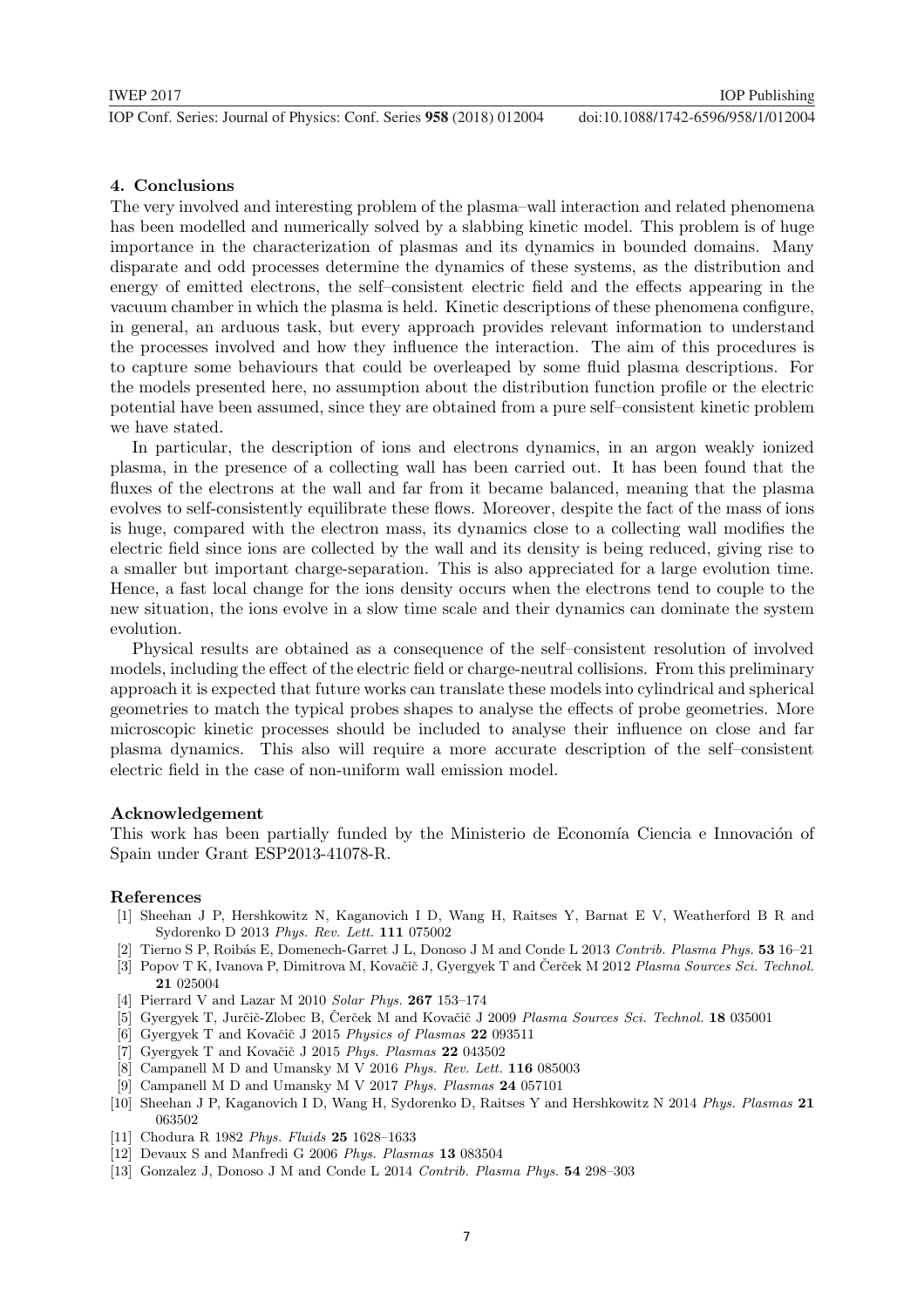#### 4. Conclusions

The very involved and interesting problem of the plasma–wall interaction and related phenomena has been modelled and numerically solved by a slabbing kinetic model. This problem is of huge importance in the characterization of plasmas and its dynamics in bounded domains. Many disparate and odd processes determine the dynamics of these systems, as the distribution and energy of emitted electrons, the self–consistent electric field and the effects appearing in the vacuum chamber in which the plasma is held. Kinetic descriptions of these phenomena configure, in general, an arduous task, but every approach provides relevant information to understand the processes involved and how they influence the interaction. The aim of this procedures is to capture some behaviours that could be overleaped by some fluid plasma descriptions. For the models presented here, no assumption about the distribution function profile or the electric potential have been assumed, since they are obtained from a pure self–consistent kinetic problem we have stated.

In particular, the description of ions and electrons dynamics, in an argon weakly ionized plasma, in the presence of a collecting wall has been carried out. It has been found that the fluxes of the electrons at the wall and far from it became balanced, meaning that the plasma evolves to self-consistently equilibrate these flows. Moreover, despite the fact of the mass of ions is huge, compared with the electron mass, its dynamics close to a collecting wall modifies the electric field since ions are collected by the wall and its density is being reduced, giving rise to a smaller but important charge-separation. This is also appreciated for a large evolution time. Hence, a fast local change for the ions density occurs when the electrons tend to couple to the new situation, the ions evolve in a slow time scale and their dynamics can dominate the system evolution.

Physical results are obtained as a consequence of the self–consistent resolution of involved models, including the effect of the electric field or charge-neutral collisions. From this preliminary approach it is expected that future works can translate these models into cylindrical and spherical geometries to match the typical probes shapes to analyse the effects of probe geometries. More microscopic kinetic processes should be included to analyse their influence on close and far plasma dynamics. This also will require a more accurate description of the self–consistent electric field in the case of non-uniform wall emission model.

#### Acknowledgement

This work has been partially funded by the Ministerio de Economía Ciencia e Innovación of Spain under Grant ESP2013-41078-R.

#### References

- [1] Sheehan J P, Hershkowitz N, Kaganovich I D, Wang H, Raitses Y, Barnat E V, Weatherford B R and Sydorenko D 2013 Phys. Rev. Lett. 111 075002
- [2] Tierno S P, Roib´as E, Domenech-Garret J L, Donoso J M and Conde L 2013 Contrib. Plasma Phys. 53 16–21
- [3] Popov T K, Ivanova P, Dimitrova M, Kovačič J, Gyergyek T and Čerček M 2012 Plasma Sources Sci. Technol. 21 025004
- [4] Pierrard V and Lazar M 2010 Solar Phys. 267 153–174
- [5] Gyergyek T, Jurčič-Zlobec B, Čerček M and Kovačič J 2009 Plasma Sources Sci. Technol. 18 035001
- [6] Gyergyek T and Kovačič J 2015 Physics of Plasmas 22 093511
- [7] Gyergyek T and Kovačič J 2015 Phys. Plasmas  $22\;043502$
- [8] Campanell M D and Umansky M V 2016 Phys. Rev. Lett. 116 085003
- [9] Campanell M D and Umansky M V 2017 Phys. Plasmas 24 057101
- [10] Sheehan J P, Kaganovich I D, Wang H, Sydorenko D, Raitses Y and Hershkowitz N 2014 Phys. Plasmas 21 063502
- [11] Chodura R 1982 Phys. Fluids 25 1628–1633
- [12] Devaux S and Manfredi G 2006 Phys. Plasmas 13 083504
- [13] Gonzalez J, Donoso J M and Conde L 2014 Contrib. Plasma Phys. 54 298–303